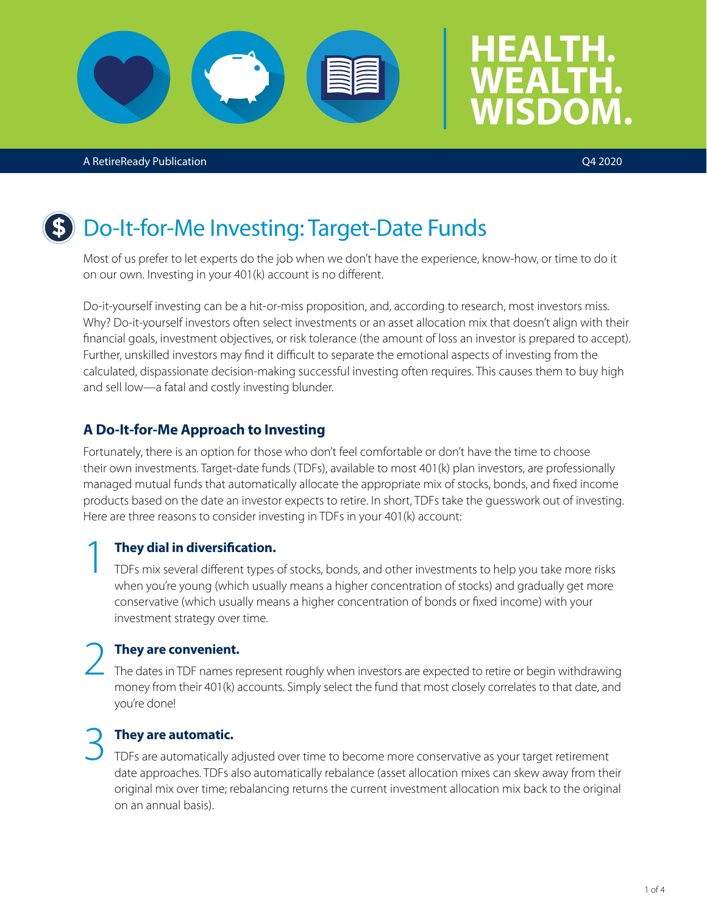### A RetireReady Publication Q4 2020

# Do-It-for-Me Investing: Target-Date Funds

Most of us prefer to let experts do the job when we don't have the experience, know-how, or time to do it on our own. Investing in your 401(k) account is no different.

Do-it-yourself investing can be a hit-or-miss proposition, and, according to research, most investors miss. Why? Do-it-yourself investors often select investments or an asset allocation mix that doesn't align with their financial goals, investment objectives, or risk tolerance (the amount of loss an investor is prepared to accept). Further, unskilled investors may find it difficult to separate the emotional aspects of investing from the calculated, dispassionate decision-making successful investing often requires. This causes them to buy high and sell low—a fatal and costly investing blunder.

## **A Do-It-for-Me Approach to Investing**

Fortunately, there is an option for those who don't feel comfortable or don't have the time to choose their own investments. Target-date funds (TDFs), available to most 401(k) plan investors, are professionally managed mutual funds that automatically allocate the appropriate mix of stocks, bonds, and fixed income products based on the date an investor expects to retire. In short, TDFs take the guesswork out of investing. Here are three reasons to consider investing in TDFs in your 401(k) account:

**They dial in diversification.**<br>
TDFs mix several different types of stocks, bonds, and other investments to help you take more risks when you're young (which usually means a higher concentration of stocks) and gradually get more conservative (which usually means a higher concentration of bonds or fixed income) with your investment strategy over time.

## 2 **They are convenient.**

The dates in TDF names represent roughly when investors are expected to retire or begin withdrawing money from their 401(k) accounts. Simply select the fund that most closely correlates to that date, and you're done!

### 3 **They are automatic.**

TDFs are automatically adjusted over time to become more conservative as your target retirement date approaches. TDFs also automatically rebalance (asset allocation mixes can skew away from their original mix over time; rebalancing returns the current investment allocation mix back to the original on an annual basis).

**HEALTH.** 

**WEALTH.** 

**WISDOM.**



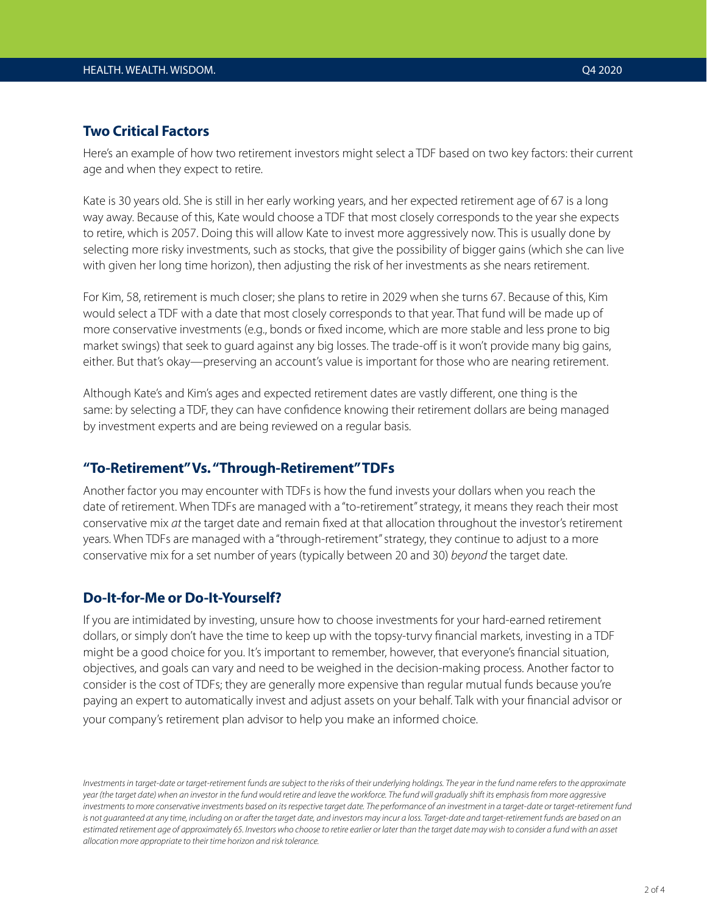### **Two Critical Factors**

Here's an example of how two retirement investors might select a TDF based on two key factors: their current age and when they expect to retire.

Kate is 30 years old. She is still in her early working years, and her expected retirement age of 67 is a long way away. Because of this, Kate would choose a TDF that most closely corresponds to the year she expects to retire, which is 2057. Doing this will allow Kate to invest more aggressively now. This is usually done by selecting more risky investments, such as stocks, that give the possibility of bigger gains (which she can live with given her long time horizon), then adjusting the risk of her investments as she nears retirement.

For Kim, 58, retirement is much closer; she plans to retire in 2029 when she turns 67. Because of this, Kim would select a TDF with a date that most closely corresponds to that year. That fund will be made up of more conservative investments (e.g., bonds or fixed income, which are more stable and less prone to big market swings) that seek to guard against any big losses. The trade-off is it won't provide many big gains, either. But that's okay—preserving an account's value is important for those who are nearing retirement.

Although Kate's and Kim's ages and expected retirement dates are vastly different, one thing is the same: by selecting a TDF, they can have confidence knowing their retirement dollars are being managed by investment experts and are being reviewed on a regular basis.

### **"To-Retirement" Vs. "Through-Retirement" TDFs**

Another factor you may encounter with TDFs is how the fund invests your dollars when you reach the date of retirement. When TDFs are managed with a "to-retirement" strategy, it means they reach their most conservative mix *at* the target date and remain fixed at that allocation throughout the investor's retirement years. When TDFs are managed with a "through-retirement" strategy, they continue to adjust to a more conservative mix for a set number of years (typically between 20 and 30) *beyond* the target date.

### **Do-It-for-Me or Do-It-Yourself?**

If you are intimidated by investing, unsure how to choose investments for your hard-earned retirement dollars, or simply don't have the time to keep up with the topsy-turvy financial markets, investing in a TDF might be a good choice for you. It's important to remember, however, that everyone's financial situation, objectives, and goals can vary and need to be weighed in the decision-making process. Another factor to consider is the cost of TDFs; they are generally more expensive than regular mutual funds because you're paying an expert to automatically invest and adjust assets on your behalf. Talk with your financial advisor or your company's retirement plan advisor to help you make an informed choice.

*Investments in target-date or target-retirement funds are subject to the risks of their underlying holdings. The year in the fund name refers to the approximate year (the target date) when an investor in the fund would retire and leave the workforce. The fund will gradually shift its emphasis from more aggressive investments to more conservative investments based on its respective target date. The performance of an investment in a target-date or target-retirement fund*  is not quaranteed at any time, including on or after the target date, and investors may incur a loss. Target-date and target-retirement funds are based on an *estimated retirement age of approximately 65. Investors who choose to retire earlier or later than the target date may wish to consider a fund with an asset allocation more appropriate to their time horizon and risk tolerance.*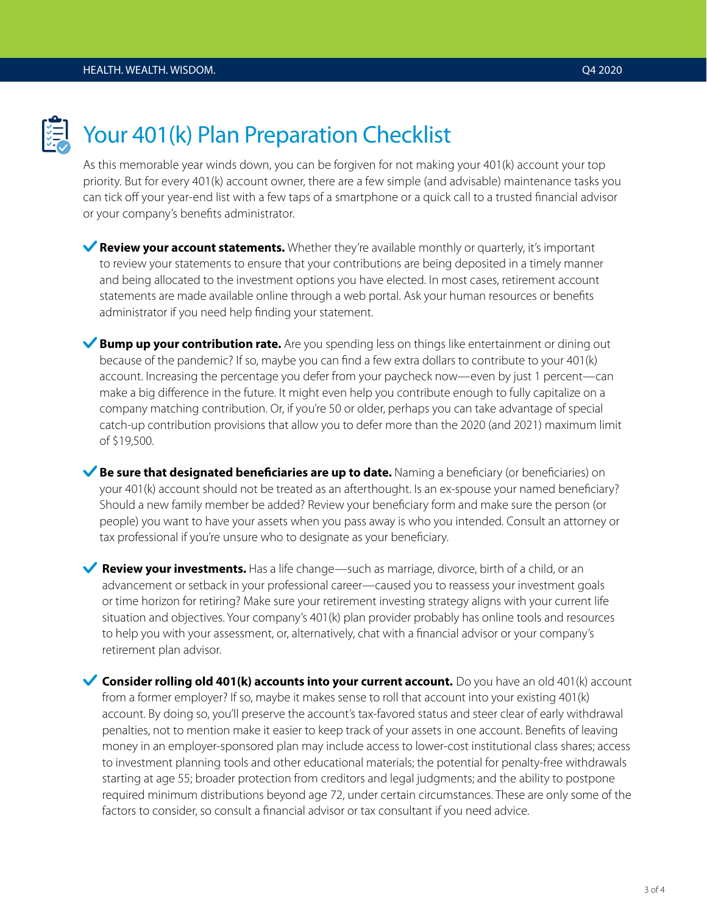

## Your 401(k) Plan Preparation Checklist

As this memorable year winds down, you can be forgiven for not making your 401(k) account your top priority. But for every 401(k) account owner, there are a few simple (and advisable) maintenance tasks you can tick off your year-end list with a few taps of a smartphone or a quick call to a trusted financial advisor or your company's benefits administrator.

**Review your account statements.** Whether they're available monthly or quarterly, it's important to review your statements to ensure that your contributions are being deposited in a timely manner and being allocated to the investment options you have elected. In most cases, retirement account statements are made available online through a web portal. Ask your human resources or benefits administrator if you need help finding your statement.

**Bump up your contribution rate.** Are you spending less on things like entertainment or dining out because of the pandemic? If so, maybe you can find a few extra dollars to contribute to your 401(k) account. Increasing the percentage you defer from your paycheck now—even by just 1 percent—can make a big difference in the future. It might even help you contribute enough to fully capitalize on a company matching contribution. Or, if you're 50 or older, perhaps you can take advantage of special catch-up contribution provisions that allow you to defer more than the 2020 (and 2021) maximum limit of \$19,500.

**Be sure that designated beneficiaries are up to date.** Naming a beneficiary (or beneficiaries) on your 401(k) account should not be treated as an afterthought. Is an ex-spouse your named beneficiary? Should a new family member be added? Review your beneficiary form and make sure the person (or people) you want to have your assets when you pass away is who you intended. Consult an attorney or tax professional if you're unsure who to designate as your beneficiary.

**Review your investments.** Has a life change—such as marriage, divorce, birth of a child, or an advancement or setback in your professional career—caused you to reassess your investment goals or time horizon for retiring? Make sure your retirement investing strategy aligns with your current life situation and objectives. Your company's 401(k) plan provider probably has online tools and resources to help you with your assessment, or, alternatively, chat with a financial advisor or your company's retirement plan advisor.

**Consider rolling old 401(k) accounts into your current account.** Do you have an old 401(k) account from a former employer? If so, maybe it makes sense to roll that account into your existing 401(k) account. By doing so, you'll preserve the account's tax-favored status and steer clear of early withdrawal penalties, not to mention make it easier to keep track of your assets in one account. Benefits of leaving money in an employer-sponsored plan may include access to lower-cost institutional class shares; access to investment planning tools and other educational materials; the potential for penalty-free withdrawals starting at age 55; broader protection from creditors and legal judgments; and the ability to postpone required minimum distributions beyond age 72, under certain circumstances. These are only some of the factors to consider, so consult a financial advisor or tax consultant if you need advice.